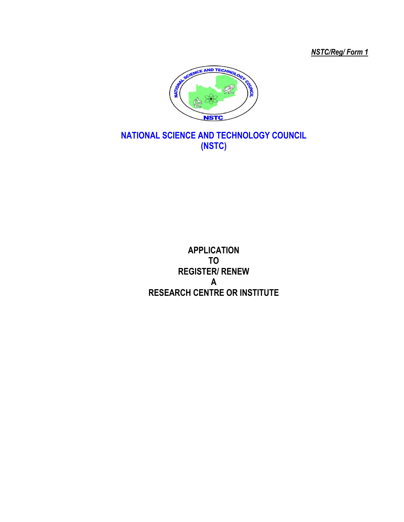*NSTC/Reg/ Form 1*



## **NATIONAL SCIENCE AND TECHNOLOGY COUNCIL (NSTC)**

**APPLICATION TO REGISTER/ RENEW A RESEARCH CENTRE OR INSTITUTE**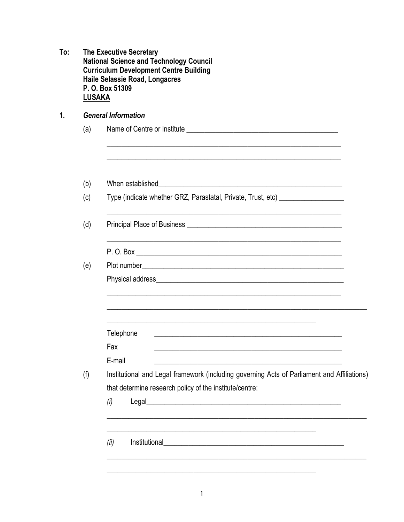| To: | <b>The Executive Secretary</b><br><b>National Science and Technology Council</b><br><b>Curriculum Development Centre Building</b><br>Haile Selassie Road, Longacres<br>P. O. Box 51309<br><b>LUSAKA</b> |                                                                                                                                                                                                                                              |  |  |  |  |
|-----|---------------------------------------------------------------------------------------------------------------------------------------------------------------------------------------------------------|----------------------------------------------------------------------------------------------------------------------------------------------------------------------------------------------------------------------------------------------|--|--|--|--|
| 1.  | <b>General Information</b>                                                                                                                                                                              |                                                                                                                                                                                                                                              |  |  |  |  |
|     | (a)                                                                                                                                                                                                     |                                                                                                                                                                                                                                              |  |  |  |  |
|     |                                                                                                                                                                                                         |                                                                                                                                                                                                                                              |  |  |  |  |
|     | (b)                                                                                                                                                                                                     | <u> 1989 - Jan James James Barnett, amerikan basar personal (h. 1989).</u><br>When established                                                                                                                                               |  |  |  |  |
|     | (c)                                                                                                                                                                                                     | Type (indicate whether GRZ, Parastatal, Private, Trust, etc) ___________________                                                                                                                                                             |  |  |  |  |
|     | (d)                                                                                                                                                                                                     | Principal Place of Business <b>contained a container and principal Place of Business</b>                                                                                                                                                     |  |  |  |  |
|     |                                                                                                                                                                                                         |                                                                                                                                                                                                                                              |  |  |  |  |
|     | (e)                                                                                                                                                                                                     |                                                                                                                                                                                                                                              |  |  |  |  |
|     |                                                                                                                                                                                                         |                                                                                                                                                                                                                                              |  |  |  |  |
|     |                                                                                                                                                                                                         | Telephone<br><u> 1980 - Johann Barn, margaret eta biztanleria (h. 1980).</u>                                                                                                                                                                 |  |  |  |  |
|     |                                                                                                                                                                                                         | Fax<br>the control of the control of the control of the control of the control of the control of                                                                                                                                             |  |  |  |  |
|     |                                                                                                                                                                                                         | E-mail                                                                                                                                                                                                                                       |  |  |  |  |
|     | (f)                                                                                                                                                                                                     | Institutional and Legal framework (including governing Acts of Parliament and Affiliations)                                                                                                                                                  |  |  |  |  |
|     |                                                                                                                                                                                                         | that determine research policy of the institute/centre:                                                                                                                                                                                      |  |  |  |  |
|     |                                                                                                                                                                                                         | (i)                                                                                                                                                                                                                                          |  |  |  |  |
|     |                                                                                                                                                                                                         | Institutional <b>Executive Contract Contract Contract Contract Contract Contract Contract Contract Contract Contract Contract Contract Contract Contract Contract Contract Contract Contract Contract Contract Contract Contract</b><br>(ii) |  |  |  |  |
|     |                                                                                                                                                                                                         |                                                                                                                                                                                                                                              |  |  |  |  |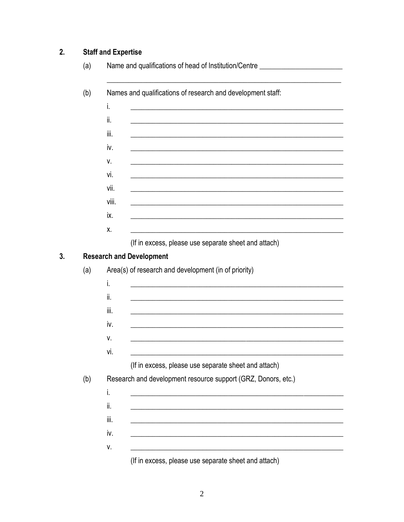## **Staff and Expertise**  $2.$

 $3.$ 

| (b) | Names and qualifications of research and development staff:                             |  |  |  |  |
|-----|-----------------------------------------------------------------------------------------|--|--|--|--|
|     | i.                                                                                      |  |  |  |  |
|     | ii.                                                                                     |  |  |  |  |
|     | iii.                                                                                    |  |  |  |  |
|     | iv.                                                                                     |  |  |  |  |
|     | v.                                                                                      |  |  |  |  |
|     | vi.                                                                                     |  |  |  |  |
|     | vii.                                                                                    |  |  |  |  |
|     | viii.                                                                                   |  |  |  |  |
|     | ix.                                                                                     |  |  |  |  |
|     | Χ.                                                                                      |  |  |  |  |
|     |                                                                                         |  |  |  |  |
| (a) | <b>Research and Development</b><br>Area(s) of research and development (in of priority) |  |  |  |  |
|     | i.                                                                                      |  |  |  |  |
|     | ii.                                                                                     |  |  |  |  |
|     | iii.                                                                                    |  |  |  |  |
|     | iv.                                                                                     |  |  |  |  |
|     | ٧.                                                                                      |  |  |  |  |
|     | vi.                                                                                     |  |  |  |  |
|     | (If in excess, please use separate sheet and attach)                                    |  |  |  |  |
|     | Research and development resource support (GRZ, Donors, etc.)                           |  |  |  |  |
| (b) | i.                                                                                      |  |  |  |  |
|     | ii.                                                                                     |  |  |  |  |
|     | iii.                                                                                    |  |  |  |  |
|     | iv.                                                                                     |  |  |  |  |

(If in excess, please use separate sheet and attach)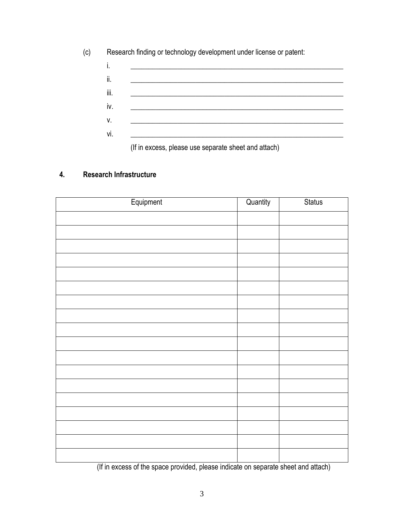|      | Research finding or technology development under license or patent: |
|------|---------------------------------------------------------------------|
| İ.   |                                                                     |
| ii.  |                                                                     |
| iii. |                                                                     |
| iv.  |                                                                     |
| ۷.   |                                                                     |
| vi.  |                                                                     |
|      |                                                                     |

(If in excess, please use separate sheet and attach)

## **4. Research Infrastructure**

| Equipment | Quantity | <b>Status</b> |
|-----------|----------|---------------|
|           |          |               |
|           |          |               |
|           |          |               |
|           |          |               |
|           |          |               |
|           |          |               |
|           |          |               |
|           |          |               |
|           |          |               |
|           |          |               |
|           |          |               |
|           |          |               |
|           |          |               |
|           |          |               |
|           |          |               |
|           |          |               |
|           |          |               |
|           |          |               |
|           |          |               |
|           |          |               |

(If in excess of the space provided, please indicate on separate sheet and attach)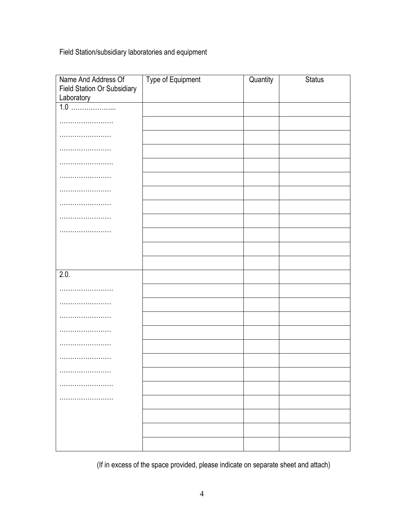Field Station/subsidiary laboratories and equipment

| Name And Address Of                              | Type of Equipment | Quantity | <b>Status</b> |
|--------------------------------------------------|-------------------|----------|---------------|
| <b>Field Station Or Subsidiary</b><br>Laboratory |                   |          |               |
|                                                  |                   |          |               |
|                                                  |                   |          |               |
|                                                  |                   |          |               |
|                                                  |                   |          |               |
|                                                  |                   |          |               |
|                                                  |                   |          |               |
| .                                                |                   |          |               |
| .                                                |                   |          |               |
|                                                  |                   |          |               |
| .                                                |                   |          |               |
|                                                  |                   |          |               |
|                                                  |                   |          |               |
| 2.0.                                             |                   |          |               |
| .                                                |                   |          |               |
|                                                  |                   |          |               |
| .                                                |                   |          |               |
| .                                                |                   |          |               |
|                                                  |                   |          |               |
|                                                  |                   |          |               |
|                                                  |                   |          |               |
|                                                  |                   |          |               |
|                                                  |                   |          |               |
|                                                  |                   |          |               |
|                                                  |                   |          |               |
|                                                  |                   |          |               |

(If in excess of the space provided, please indicate on separate sheet and attach)